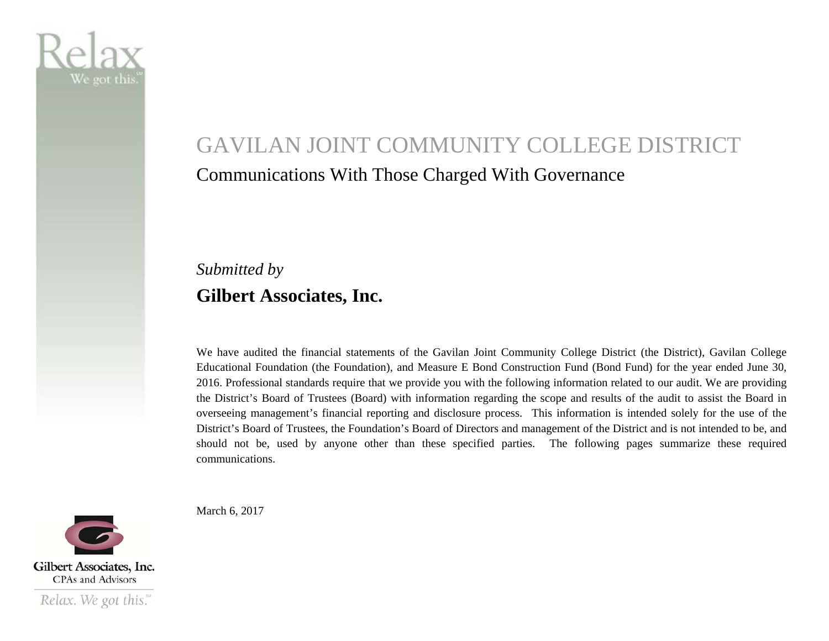

# GAVILAN JOINT COMMUNITY COLLEGE DISTRICT Communications With Those Charged With Governance

### *Submitted by*  **Gilbert Associates, Inc.**

We have audited the financial statements of the Gavilan Joint Community College District (the District), Gavilan College Educational Foundation (the Foundation), and Measure E Bond Construction Fund (Bond Fund) for the year ended June 30, 2016. Professional standards require that we provide you with the following information related to our audit. We are providing the District's Board of Trustees (Board) with information regarding the scope and results of the audit to assist the Board in overseeing management's financial reporting and disclosure process. This information is intended solely for the use of the District's Board of Trustees, the Foundation's Board of Directors and management of the District and is not intended to be, and should not be, used by anyone other than these specified parties. The following pages summarize these required communications.

Gilbert Associates, Inc. **CPAs and Advisors** 

Relax. We got this."

March 6, 2017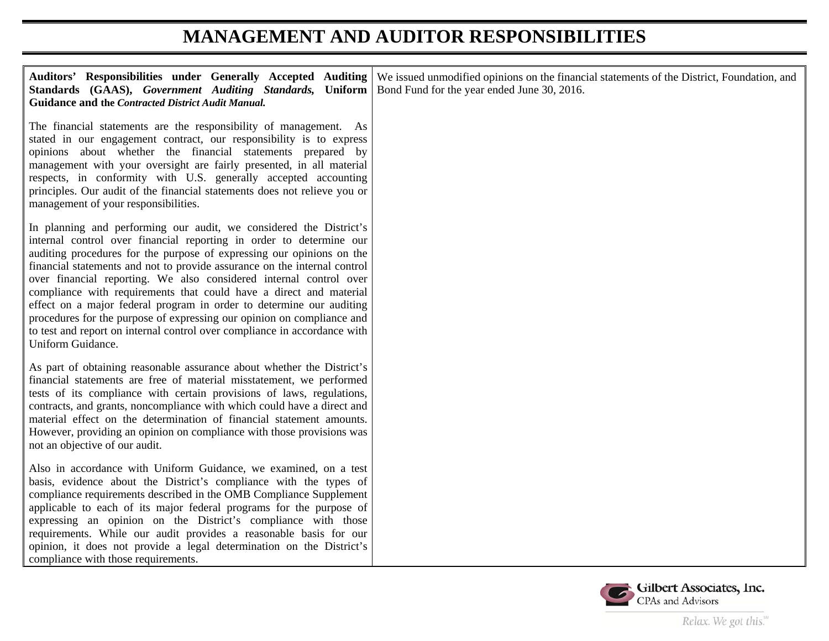#### **MANAGEMENT AND AUDITOR RESPONSIBILITIES**

| Auditors' Responsibilities under Generally Accepted Auditing<br>Standards (GAAS), Government Auditing Standards, Uniform<br><b>Guidance and the Contracted District Audit Manual.</b>                                                                                                                                                                                                                                                                                                                                                                                                                                                                                                           | We issued unmodified opinions on the financial statements of the District, Foundation, and<br>Bond Fund for the year ended June 30, 2016. |
|-------------------------------------------------------------------------------------------------------------------------------------------------------------------------------------------------------------------------------------------------------------------------------------------------------------------------------------------------------------------------------------------------------------------------------------------------------------------------------------------------------------------------------------------------------------------------------------------------------------------------------------------------------------------------------------------------|-------------------------------------------------------------------------------------------------------------------------------------------|
| The financial statements are the responsibility of management. As<br>stated in our engagement contract, our responsibility is to express<br>opinions about whether the financial statements prepared by<br>management with your oversight are fairly presented, in all material<br>respects, in conformity with U.S. generally accepted accounting<br>principles. Our audit of the financial statements does not relieve you or<br>management of your responsibilities.                                                                                                                                                                                                                         |                                                                                                                                           |
| In planning and performing our audit, we considered the District's<br>internal control over financial reporting in order to determine our<br>auditing procedures for the purpose of expressing our opinions on the<br>financial statements and not to provide assurance on the internal control<br>over financial reporting. We also considered internal control over<br>compliance with requirements that could have a direct and material<br>effect on a major federal program in order to determine our auditing<br>procedures for the purpose of expressing our opinion on compliance and<br>to test and report on internal control over compliance in accordance with<br>Uniform Guidance. |                                                                                                                                           |
| As part of obtaining reasonable assurance about whether the District's<br>financial statements are free of material misstatement, we performed<br>tests of its compliance with certain provisions of laws, regulations,<br>contracts, and grants, noncompliance with which could have a direct and<br>material effect on the determination of financial statement amounts.<br>However, providing an opinion on compliance with those provisions was<br>not an objective of our audit.                                                                                                                                                                                                           |                                                                                                                                           |
| Also in accordance with Uniform Guidance, we examined, on a test<br>basis, evidence about the District's compliance with the types of<br>compliance requirements described in the OMB Compliance Supplement<br>applicable to each of its major federal programs for the purpose of<br>expressing an opinion on the District's compliance with those<br>requirements. While our audit provides a reasonable basis for our<br>opinion, it does not provide a legal determination on the District's<br>compliance with those requirements.                                                                                                                                                         |                                                                                                                                           |

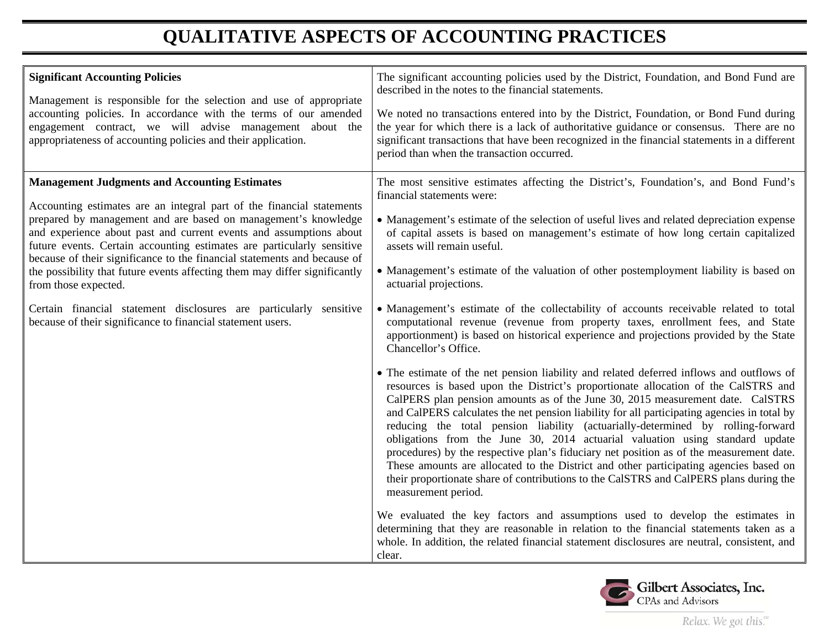## **QUALITATIVE ASPECTS OF ACCOUNTING PRACTICES**

| <b>Significant Accounting Policies</b><br>Management is responsible for the selection and use of appropriate<br>accounting policies. In accordance with the terms of our amended<br>engagement contract, we will advise management about the<br>appropriateness of accounting policies and their application.                                                                                                                                                                                                                                                                                                                                                          | The significant accounting policies used by the District, Foundation, and Bond Fund are<br>described in the notes to the financial statements.<br>We noted no transactions entered into by the District, Foundation, or Bond Fund during<br>the year for which there is a lack of authoritative guidance or consensus. There are no<br>significant transactions that have been recognized in the financial statements in a different<br>period than when the transaction occurred.                                                                                                                                                                                                                                                                                                                                                                                                                                                                                                                                                                                                                                                                                                                                                                                                                                                                                                                                                                                                                                                                                                                                                                                                                                                                                                                                                                                                     |
|------------------------------------------------------------------------------------------------------------------------------------------------------------------------------------------------------------------------------------------------------------------------------------------------------------------------------------------------------------------------------------------------------------------------------------------------------------------------------------------------------------------------------------------------------------------------------------------------------------------------------------------------------------------------|----------------------------------------------------------------------------------------------------------------------------------------------------------------------------------------------------------------------------------------------------------------------------------------------------------------------------------------------------------------------------------------------------------------------------------------------------------------------------------------------------------------------------------------------------------------------------------------------------------------------------------------------------------------------------------------------------------------------------------------------------------------------------------------------------------------------------------------------------------------------------------------------------------------------------------------------------------------------------------------------------------------------------------------------------------------------------------------------------------------------------------------------------------------------------------------------------------------------------------------------------------------------------------------------------------------------------------------------------------------------------------------------------------------------------------------------------------------------------------------------------------------------------------------------------------------------------------------------------------------------------------------------------------------------------------------------------------------------------------------------------------------------------------------------------------------------------------------------------------------------------------------|
| <b>Management Judgments and Accounting Estimates</b><br>Accounting estimates are an integral part of the financial statements<br>prepared by management and are based on management's knowledge<br>and experience about past and current events and assumptions about<br>future events. Certain accounting estimates are particularly sensitive<br>because of their significance to the financial statements and because of<br>the possibility that future events affecting them may differ significantly<br>from those expected.<br>Certain financial statement disclosures are particularly sensitive<br>because of their significance to financial statement users. | The most sensitive estimates affecting the District's, Foundation's, and Bond Fund's<br>financial statements were:<br>• Management's estimate of the selection of useful lives and related depreciation expense<br>of capital assets is based on management's estimate of how long certain capitalized<br>assets will remain useful.<br>• Management's estimate of the valuation of other postemployment liability is based on<br>actuarial projections.<br>• Management's estimate of the collectability of accounts receivable related to total<br>computational revenue (revenue from property taxes, enrollment fees, and State<br>apportionment) is based on historical experience and projections provided by the State<br>Chancellor's Office.<br>• The estimate of the net pension liability and related deferred inflows and outflows of<br>resources is based upon the District's proportionate allocation of the CalSTRS and<br>CalPERS plan pension amounts as of the June 30, 2015 measurement date. CalSTRS<br>and CalPERS calculates the net pension liability for all participating agencies in total by<br>reducing the total pension liability (actuarially-determined by rolling-forward<br>obligations from the June 30, 2014 actuarial valuation using standard update<br>procedures) by the respective plan's fiduciary net position as of the measurement date.<br>These amounts are allocated to the District and other participating agencies based on<br>their proportionate share of contributions to the CalSTRS and CalPERS plans during the<br>measurement period.<br>We evaluated the key factors and assumptions used to develop the estimates in<br>determining that they are reasonable in relation to the financial statements taken as a<br>whole. In addition, the related financial statement disclosures are neutral, consistent, and<br>clear. |

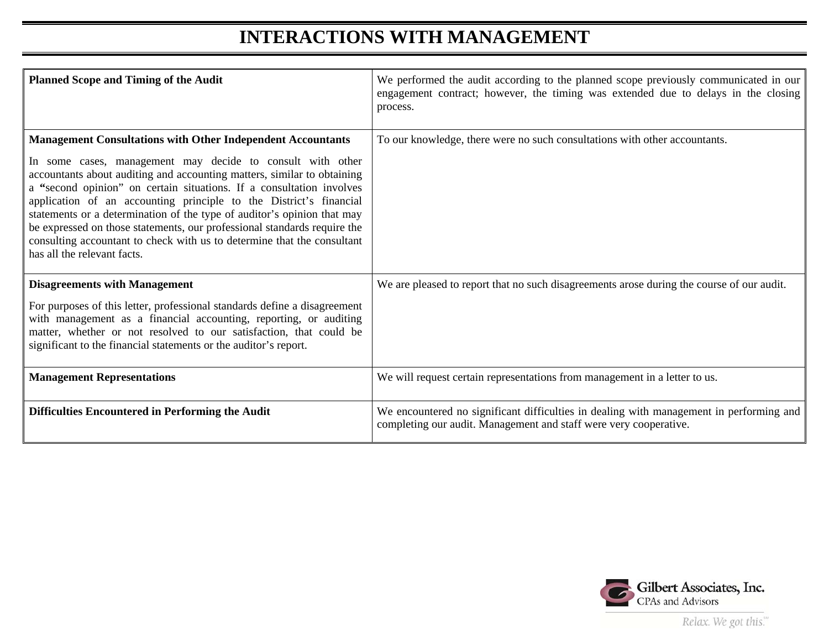#### **INTERACTIONS WITH MANAGEMENT**

| <b>Planned Scope and Timing of the Audit</b>                                                                                                                                                                                                                                                                                                                                                                                                                                                                                                                                                                               | We performed the audit according to the planned scope previously communicated in our<br>engagement contract; however, the timing was extended due to delays in the closing<br>process. |
|----------------------------------------------------------------------------------------------------------------------------------------------------------------------------------------------------------------------------------------------------------------------------------------------------------------------------------------------------------------------------------------------------------------------------------------------------------------------------------------------------------------------------------------------------------------------------------------------------------------------------|----------------------------------------------------------------------------------------------------------------------------------------------------------------------------------------|
| <b>Management Consultations with Other Independent Accountants</b><br>In some cases, management may decide to consult with other<br>accountants about auditing and accounting matters, similar to obtaining<br>a "second opinion" on certain situations. If a consultation involves<br>application of an accounting principle to the District's financial<br>statements or a determination of the type of auditor's opinion that may<br>be expressed on those statements, our professional standards require the<br>consulting accountant to check with us to determine that the consultant<br>has all the relevant facts. | To our knowledge, there were no such consultations with other accountants.                                                                                                             |
| <b>Disagreements with Management</b><br>For purposes of this letter, professional standards define a disagreement<br>with management as a financial accounting, reporting, or auditing<br>matter, whether or not resolved to our satisfaction, that could be<br>significant to the financial statements or the auditor's report.                                                                                                                                                                                                                                                                                           | We are pleased to report that no such disagreements arose during the course of our audit.                                                                                              |
| <b>Management Representations</b>                                                                                                                                                                                                                                                                                                                                                                                                                                                                                                                                                                                          | We will request certain representations from management in a letter to us.                                                                                                             |
| Difficulties Encountered in Performing the Audit                                                                                                                                                                                                                                                                                                                                                                                                                                                                                                                                                                           | We encountered no significant difficulties in dealing with management in performing and<br>completing our audit. Management and staff were very cooperative.                           |

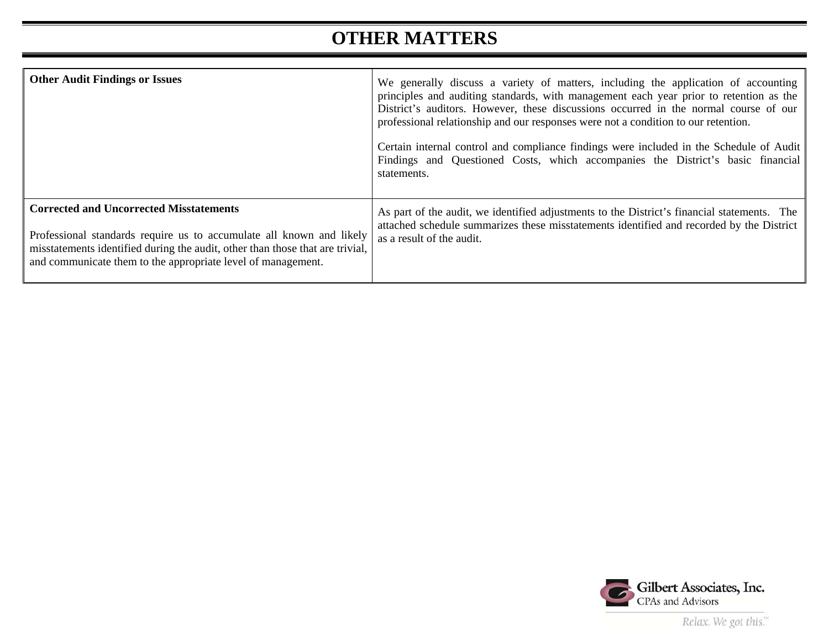### **OTHER MATTERS**

| <b>Other Audit Findings or Issues</b>                                                                                                                                                                                                                                   | We generally discuss a variety of matters, including the application of accounting<br>principles and auditing standards, with management each year prior to retention as the<br>District's auditors. However, these discussions occurred in the normal course of our<br>professional relationship and our responses were not a condition to our retention.<br>Certain internal control and compliance findings were included in the Schedule of Audit<br>Findings and Questioned Costs, which accompanies the District's basic financial<br>statements. |
|-------------------------------------------------------------------------------------------------------------------------------------------------------------------------------------------------------------------------------------------------------------------------|---------------------------------------------------------------------------------------------------------------------------------------------------------------------------------------------------------------------------------------------------------------------------------------------------------------------------------------------------------------------------------------------------------------------------------------------------------------------------------------------------------------------------------------------------------|
| <b>Corrected and Uncorrected Misstatements</b><br>Professional standards require us to accumulate all known and likely<br>misstatements identified during the audit, other than those that are trivial,<br>and communicate them to the appropriate level of management. | As part of the audit, we identified adjustments to the District's financial statements. The<br>attached schedule summarizes these misstatements identified and recorded by the District<br>as a result of the audit.                                                                                                                                                                                                                                                                                                                                    |

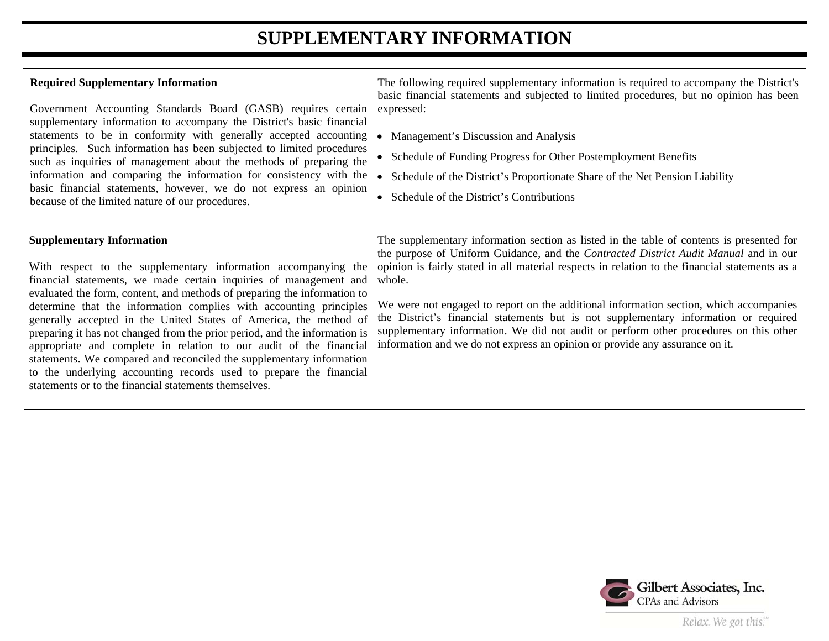### **SUPPLEMENTARY INFORMATION**

| <b>Required Supplementary Information</b><br>Government Accounting Standards Board (GASB) requires certain<br>supplementary information to accompany the District's basic financial<br>statements to be in conformity with generally accepted accounting<br>principles. Such information has been subjected to limited procedures<br>such as inquiries of management about the methods of preparing the<br>information and comparing the information for consistency with the<br>basic financial statements, however, we do not express an opinion<br>because of the limited nature of our procedures.                                                                                                                                                    | The following required supplementary information is required to accompany the District's<br>basic financial statements and subjected to limited procedures, but no opinion has been<br>expressed:<br>Management's Discussion and Analysis<br>• Schedule of Funding Progress for Other Postemployment Benefits<br>Schedule of the District's Proportionate Share of the Net Pension Liability<br>• Schedule of the District's Contributions                                                                                                                                                                                                               |
|-----------------------------------------------------------------------------------------------------------------------------------------------------------------------------------------------------------------------------------------------------------------------------------------------------------------------------------------------------------------------------------------------------------------------------------------------------------------------------------------------------------------------------------------------------------------------------------------------------------------------------------------------------------------------------------------------------------------------------------------------------------|----------------------------------------------------------------------------------------------------------------------------------------------------------------------------------------------------------------------------------------------------------------------------------------------------------------------------------------------------------------------------------------------------------------------------------------------------------------------------------------------------------------------------------------------------------------------------------------------------------------------------------------------------------|
| <b>Supplementary Information</b><br>With respect to the supplementary information accompanying the<br>financial statements, we made certain inquiries of management and<br>evaluated the form, content, and methods of preparing the information to<br>determine that the information complies with accounting principles<br>generally accepted in the United States of America, the method of<br>preparing it has not changed from the prior period, and the information is<br>appropriate and complete in relation to our audit of the financial<br>statements. We compared and reconciled the supplementary information<br>to the underlying accounting records used to prepare the financial<br>statements or to the financial statements themselves. | The supplementary information section as listed in the table of contents is presented for<br>the purpose of Uniform Guidance, and the Contracted District Audit Manual and in our<br>opinion is fairly stated in all material respects in relation to the financial statements as a<br>whole.<br>We were not engaged to report on the additional information section, which accompanies<br>the District's financial statements but is not supplementary information or required<br>supplementary information. We did not audit or perform other procedures on this other<br>information and we do not express an opinion or provide any assurance on it. |

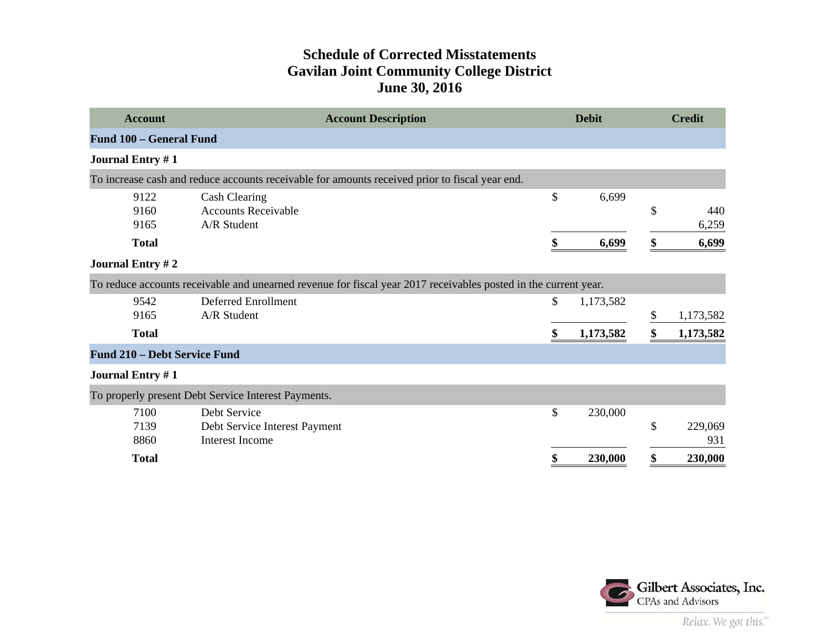#### **Schedule of Corrected Misstatements Gavilan Joint Community College District June 30, 2016**

| <b>Account</b>               | <b>Account Description</b>                                                                                      | <b>Debit</b>    | <b>Credit</b>   |
|------------------------------|-----------------------------------------------------------------------------------------------------------------|-----------------|-----------------|
| Fund 100 - General Fund      |                                                                                                                 |                 |                 |
| <b>Journal Entry #1</b>      |                                                                                                                 |                 |                 |
|                              | To increase cash and reduce accounts receivable for amounts received prior to fiscal year end.                  |                 |                 |
| 9122                         | <b>Cash Clearing</b>                                                                                            | \$<br>6,699     |                 |
| 9160                         | <b>Accounts Receivable</b>                                                                                      |                 | \$<br>440       |
| 9165                         | A/R Student                                                                                                     |                 | 6,259           |
| <b>Total</b>                 |                                                                                                                 | 6,699           | \$<br>6,699     |
| <b>Journal Entry #2</b>      |                                                                                                                 |                 |                 |
|                              | To reduce accounts receivable and unearned revenue for fiscal year 2017 receivables posted in the current year. |                 |                 |
| 9542                         | <b>Deferred Enrollment</b>                                                                                      | \$<br>1,173,582 |                 |
| 9165                         | A/R Student                                                                                                     |                 | \$<br>1,173,582 |
| <b>Total</b>                 |                                                                                                                 | \$<br>1,173,582 | \$<br>1,173,582 |
| Fund 210 - Debt Service Fund |                                                                                                                 |                 |                 |
| <b>Journal Entry #1</b>      |                                                                                                                 |                 |                 |
|                              | To properly present Debt Service Interest Payments.                                                             |                 |                 |
| 7100                         | Debt Service                                                                                                    | \$<br>230,000   |                 |
| 7139                         | Debt Service Interest Payment                                                                                   |                 | \$<br>229,069   |
| 8860                         | <b>Interest Income</b>                                                                                          |                 | 931             |
| <b>Total</b>                 |                                                                                                                 | 230,000         | \$<br>230,000   |

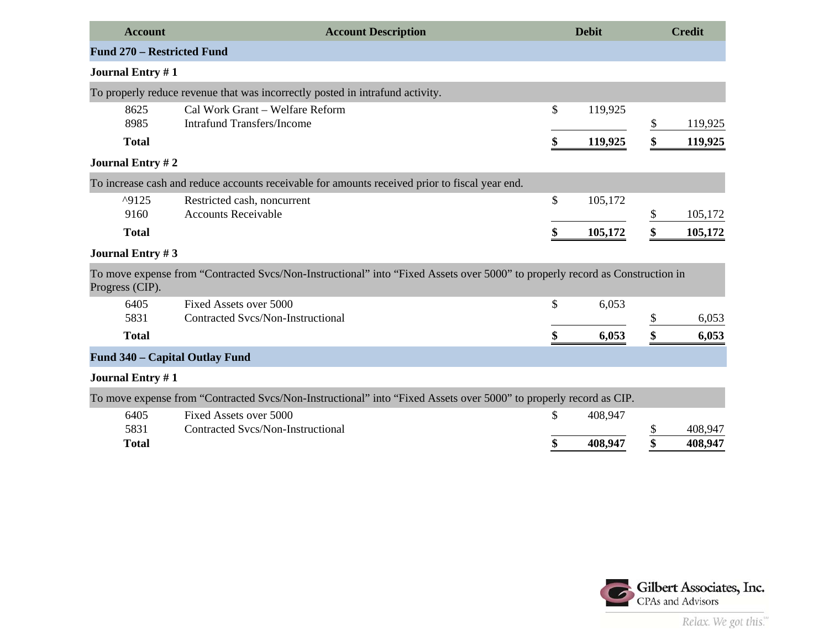| <b>Account</b>                    | <b>Account Description</b>                                                                                                   | <b>Debit</b>  |               | <b>Credit</b> |
|-----------------------------------|------------------------------------------------------------------------------------------------------------------------------|---------------|---------------|---------------|
| <b>Fund 270 - Restricted Fund</b> |                                                                                                                              |               |               |               |
| <b>Journal Entry #1</b>           |                                                                                                                              |               |               |               |
|                                   | To properly reduce revenue that was incorrectly posted in intrafund activity.                                                |               |               |               |
| 8625                              | Cal Work Grant - Welfare Reform                                                                                              | \$<br>119,925 |               |               |
| 8985                              | <b>Intrafund Transfers/Income</b>                                                                                            |               | \$            | 119,925       |
| <b>Total</b>                      |                                                                                                                              | \$<br>119,925 | \$            | 119,925       |
| <b>Journal Entry #2</b>           |                                                                                                                              |               |               |               |
|                                   | To increase cash and reduce accounts receivable for amounts received prior to fiscal year end.                               |               |               |               |
| ^9125                             | Restricted cash, noncurrent                                                                                                  | \$<br>105,172 |               |               |
| 9160                              | <b>Accounts Receivable</b>                                                                                                   |               | \$            | 105,172       |
| <b>Total</b>                      |                                                                                                                              | \$<br>105,172 | \$            | 105,172       |
| <b>Journal Entry #3</b>           |                                                                                                                              |               |               |               |
| Progress (CIP).                   | To move expense from "Contracted Svcs/Non-Instructional" into "Fixed Assets over 5000" to properly record as Construction in |               |               |               |
| 6405                              | Fixed Assets over 5000                                                                                                       | \$<br>6,053   |               |               |
| 5831                              | Contracted Svcs/Non-Instructional                                                                                            |               | $\frac{1}{2}$ | 6,053         |
| <b>Total</b>                      |                                                                                                                              | \$<br>6,053   | \$            | 6,053         |
| Fund 340 - Capital Outlay Fund    |                                                                                                                              |               |               |               |
| <b>Journal Entry #1</b>           |                                                                                                                              |               |               |               |
|                                   | To move expense from "Contracted Svcs/Non-Instructional" into "Fixed Assets over 5000" to properly record as CIP.            |               |               |               |
| 6405                              | Fixed Assets over 5000                                                                                                       | \$<br>408,947 |               |               |
| 5831                              | Contracted Svcs/Non-Instructional                                                                                            |               | \$            | 408,947       |
| <b>Total</b>                      |                                                                                                                              | \$<br>408,947 | \$            | 408,947       |
|                                   |                                                                                                                              |               |               |               |

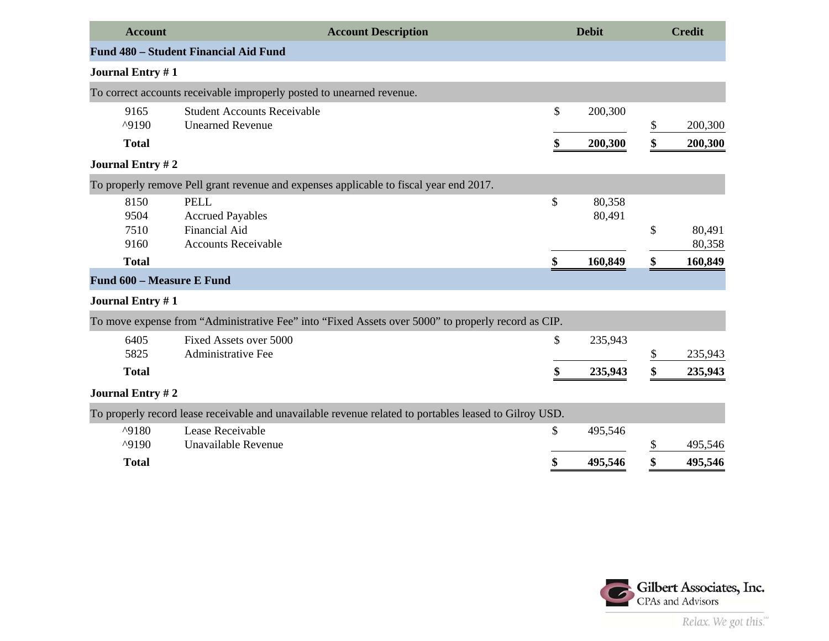| <b>Account</b>               | <b>Account Description</b>                                                                             | <b>Debit</b>           | <b>Credit</b>          |
|------------------------------|--------------------------------------------------------------------------------------------------------|------------------------|------------------------|
|                              | <b>Fund 480 – Student Financial Aid Fund</b>                                                           |                        |                        |
| <b>Journal Entry #1</b>      |                                                                                                        |                        |                        |
|                              | To correct accounts receivable improperly posted to unearned revenue.                                  |                        |                        |
| 9165<br>^9190                | <b>Student Accounts Receivable</b><br><b>Unearned Revenue</b>                                          | \$<br>200,300          | \$<br>200,300          |
| <b>Total</b>                 |                                                                                                        | \$<br>200,300          | \$<br>200,300          |
| <b>Journal Entry #2</b>      |                                                                                                        |                        |                        |
|                              | To properly remove Pell grant revenue and expenses applicable to fiscal year end 2017.                 |                        |                        |
| 8150<br>9504<br>7510<br>9160 | <b>PELL</b><br><b>Accrued Payables</b><br>Financial Aid<br><b>Accounts Receivable</b>                  | \$<br>80,358<br>80,491 | \$<br>80,491<br>80,358 |
| <b>Total</b>                 |                                                                                                        | \$<br>160,849          | \$<br>160,849          |
| Fund 600 - Measure E Fund    |                                                                                                        |                        |                        |
| <b>Journal Entry #1</b>      |                                                                                                        |                        |                        |
|                              | To move expense from "Administrative Fee" into "Fixed Assets over 5000" to properly record as CIP.     |                        |                        |
| 6405<br>5825                 | Fixed Assets over 5000<br>Administrative Fee                                                           | \$<br>235,943          | \$<br>235,943          |
| <b>Total</b>                 |                                                                                                        | \$<br>235,943          | \$<br>235,943          |
| <b>Journal Entry #2</b>      |                                                                                                        |                        |                        |
|                              | To properly record lease receivable and unavailable revenue related to portables leased to Gilroy USD. |                        |                        |
| ^9180<br>^9190               | Lease Receivable<br>Unavailable Revenue                                                                | \$<br>495,546          | \$<br>495,546          |
| <b>Total</b>                 |                                                                                                        | \$<br>495,546          | \$<br>495,546          |